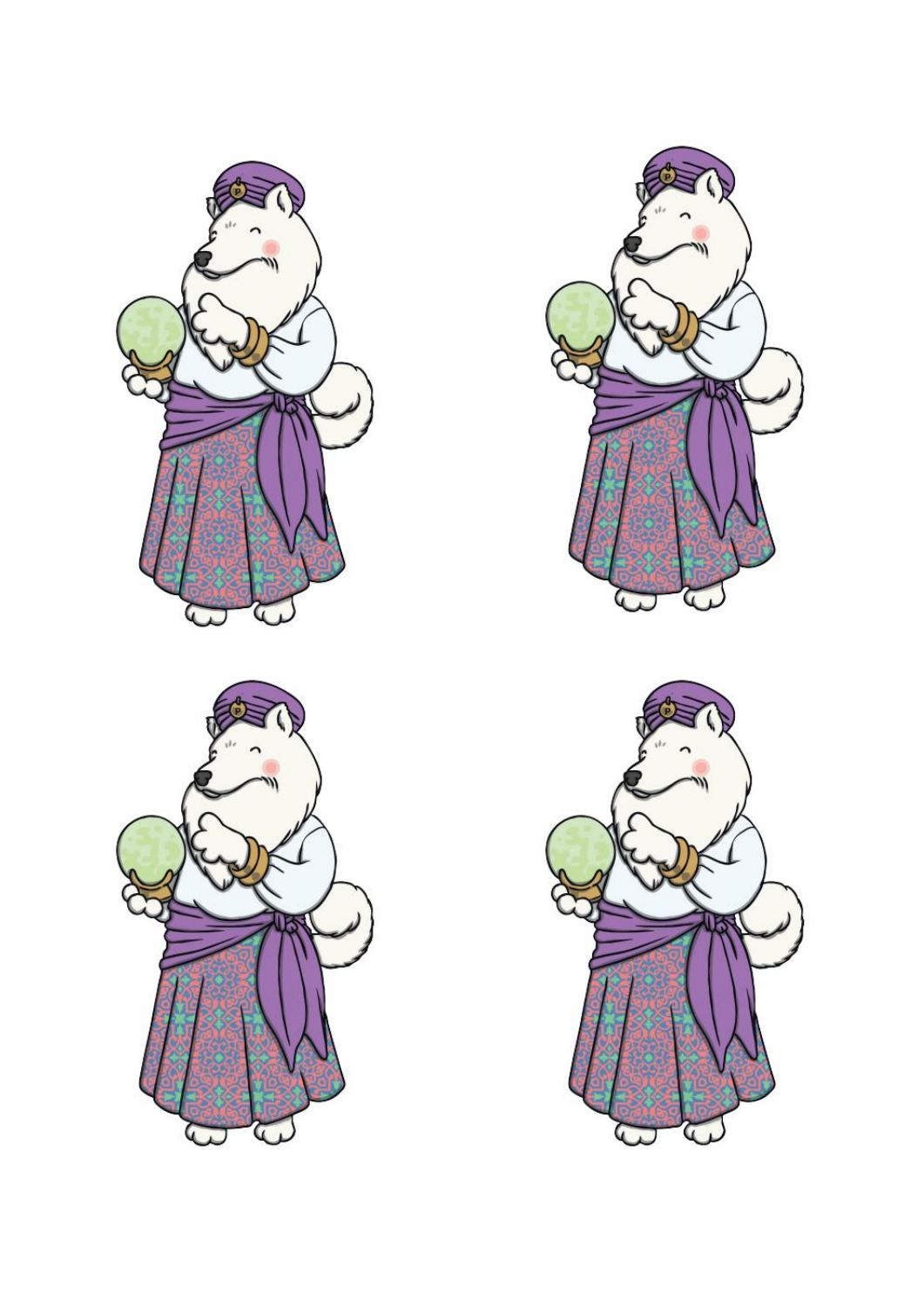